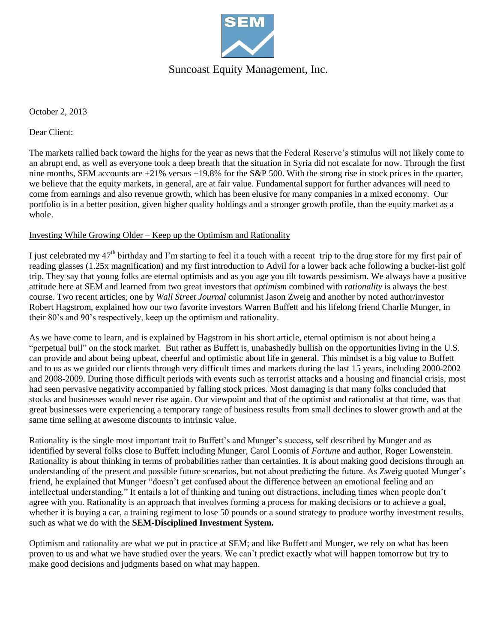

# Suncoast Equity Management, Inc.

October 2, 2013

Dear Client:

The markets rallied back toward the highs for the year as news that the Federal Reserve's stimulus will not likely come to an abrupt end, as well as everyone took a deep breath that the situation in Syria did not escalate for now. Through the first nine months, SEM accounts are  $+21\%$  versus  $+19.8\%$  for the S&P 500. With the strong rise in stock prices in the quarter, we believe that the equity markets, in general, are at fair value. Fundamental support for further advances will need to come from earnings and also revenue growth, which has been elusive for many companies in a mixed economy. Our portfolio is in a better position, given higher quality holdings and a stronger growth profile, than the equity market as a whole.

#### Investing While Growing Older – Keep up the Optimism and Rationality

I just celebrated my 47<sup>th</sup> birthday and I'm starting to feel it a touch with a recent trip to the drug store for my first pair of reading glasses (1.25x magnification) and my first introduction to Advil for a lower back ache following a bucket-list golf trip. They say that young folks are eternal optimists and as you age you tilt towards pessimism. We always have a positive attitude here at SEM and learned from two great investors that *optimism* combined with *rationality* is always the best course. Two recent articles, one by *Wall Street Journal* columnist Jason Zweig and another by noted author/investor Robert Hagstrom, explained how our two favorite investors Warren Buffett and his lifelong friend Charlie Munger, in their 80's and 90's respectively, keep up the optimism and rationality.

As we have come to learn, and is explained by Hagstrom in his short article, eternal optimism is not about being a "perpetual bull" on the stock market. But rather as Buffett is, unabashedly bullish on the opportunities living in the U.S. can provide and about being upbeat, cheerful and optimistic about life in general. This mindset is a big value to Buffett and to us as we guided our clients through very difficult times and markets during the last 15 years, including 2000-2002 and 2008-2009. During those difficult periods with events such as terrorist attacks and a housing and financial crisis, most had seen pervasive negativity accompanied by falling stock prices. Most damaging is that many folks concluded that stocks and businesses would never rise again. Our viewpoint and that of the optimist and rationalist at that time, was that great businesses were experiencing a temporary range of business results from small declines to slower growth and at the same time selling at awesome discounts to intrinsic value.

Rationality is the single most important trait to Buffett's and Munger's success, self described by Munger and as identified by several folks close to Buffett including Munger, Carol Loomis of *Fortune* and author, Roger Lowenstein. Rationality is about thinking in terms of probabilities rather than certainties. It is about making good decisions through an understanding of the present and possible future scenarios, but not about predicting the future. As Zweig quoted Munger's friend, he explained that Munger "doesn't get confused about the difference between an emotional feeling and an intellectual understanding." It entails a lot of thinking and tuning out distractions, including times when people don't agree with you. Rationality is an approach that involves forming a process for making decisions or to achieve a goal, whether it is buying a car, a training regiment to lose 50 pounds or a sound strategy to produce worthy investment results, such as what we do with the **SEM-Disciplined Investment System.**

Optimism and rationality are what we put in practice at SEM; and like Buffett and Munger, we rely on what has been proven to us and what we have studied over the years. We can't predict exactly what will happen tomorrow but try to make good decisions and judgments based on what may happen.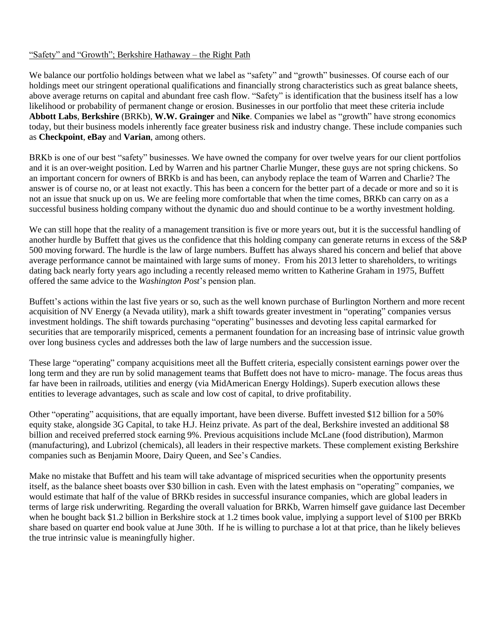#### "Safety" and "Growth"; Berkshire Hathaway – the Right Path

We balance our portfolio holdings between what we label as "safety" and "growth" businesses. Of course each of our holdings meet our stringent operational qualifications and financially strong characteristics such as great balance sheets, above average returns on capital and abundant free cash flow. "Safety" is identification that the business itself has a low likelihood or probability of permanent change or erosion. Businesses in our portfolio that meet these criteria include **Abbott Labs**, **Berkshire** (BRKb), **W.W. Grainger** and **Nike**. Companies we label as "growth" have strong economics today, but their business models inherently face greater business risk and industry change. These include companies such as **Checkpoint**, **eBay** and **Varian**, among others.

BRKb is one of our best "safety" businesses. We have owned the company for over twelve years for our client portfolios and it is an over-weight position. Led by Warren and his partner Charlie Munger, these guys are not spring chickens. So an important concern for owners of BRKb is and has been, can anybody replace the team of Warren and Charlie? The answer is of course no, or at least not exactly. This has been a concern for the better part of a decade or more and so it is not an issue that snuck up on us. We are feeling more comfortable that when the time comes, BRKb can carry on as a successful business holding company without the dynamic duo and should continue to be a worthy investment holding.

We can still hope that the reality of a management transition is five or more years out, but it is the successful handling of another hurdle by Buffett that gives us the confidence that this holding company can generate returns in excess of the S&P 500 moving forward. The hurdle is the law of large numbers. Buffett has always shared his concern and belief that above average performance cannot be maintained with large sums of money. From his 2013 letter to shareholders, to writings dating back nearly forty years ago including a recently released memo written to Katherine Graham in 1975, Buffett offered the same advice to the *Washington Post*'s pension plan.

Buffett's actions within the last five years or so, such as the well known purchase of Burlington Northern and more recent acquisition of NV Energy (a Nevada utility), mark a shift towards greater investment in "operating" companies versus investment holdings. The shift towards purchasing "operating" businesses and devoting less capital earmarked for securities that are temporarily mispriced, cements a permanent foundation for an increasing base of intrinsic value growth over long business cycles and addresses both the law of large numbers and the succession issue.

These large "operating" company acquisitions meet all the Buffett criteria, especially consistent earnings power over the long term and they are run by solid management teams that Buffett does not have to micro- manage. The focus areas thus far have been in railroads, utilities and energy (via MidAmerican Energy Holdings). Superb execution allows these entities to leverage advantages, such as scale and low cost of capital, to drive profitability.

Other "operating" acquisitions, that are equally important, have been diverse. Buffett invested \$12 billion for a 50% equity stake, alongside 3G Capital, to take H.J. Heinz private. As part of the deal, Berkshire invested an additional \$8 billion and received preferred stock earning 9%. Previous acquisitions include McLane (food distribution), Marmon (manufacturing), and Lubrizol (chemicals), all leaders in their respective markets. These complement existing Berkshire companies such as Benjamin Moore, Dairy Queen, and See's Candies.

Make no mistake that Buffett and his team will take advantage of mispriced securities when the opportunity presents itself, as the balance sheet boasts over \$30 billion in cash. Even with the latest emphasis on "operating" companies, we would estimate that half of the value of BRKb resides in successful insurance companies, which are global leaders in terms of large risk underwriting. Regarding the overall valuation for BRKb, Warren himself gave guidance last December when he bought back \$1.2 billion in Berkshire stock at 1.2 times book value, implying a support level of \$100 per BRKb share based on quarter end book value at June 30th. If he is willing to purchase a lot at that price, than he likely believes the true intrinsic value is meaningfully higher.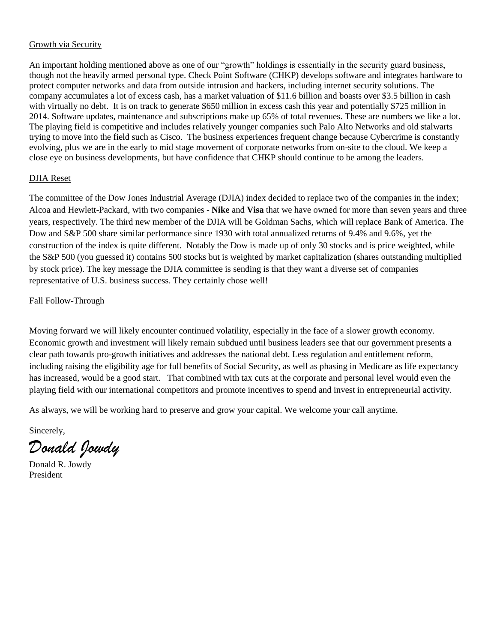## Growth via Security

An important holding mentioned above as one of our "growth" holdings is essentially in the security guard business, though not the heavily armed personal type. Check Point Software (CHKP) develops software and integrates hardware to protect computer networks and data from outside intrusion and hackers, including internet security solutions. The company accumulates a lot of excess cash, has a market valuation of \$11.6 billion and boasts over \$3.5 billion in cash with virtually no debt. It is on track to generate \$650 million in excess cash this year and potentially \$725 million in 2014. Software updates, maintenance and subscriptions make up 65% of total revenues. These are numbers we like a lot. The playing field is competitive and includes relatively younger companies such Palo Alto Networks and old stalwarts trying to move into the field such as Cisco. The business experiences frequent change because Cybercrime is constantly evolving, plus we are in the early to mid stage movement of corporate networks from on-site to the cloud. We keep a close eye on business developments, but have confidence that CHKP should continue to be among the leaders.

### DJIA Reset

The committee of the Dow Jones Industrial Average (DJIA) index decided to replace two of the companies in the index; Alcoa and Hewlett-Packard, with two companies - **Nike** and **Visa** that we have owned for more than seven years and three years, respectively. The third new member of the DJIA will be Goldman Sachs, which will replace Bank of America. The Dow and S&P 500 share similar performance since 1930 with total annualized returns of 9.4% and 9.6%, yet the construction of the index is quite different. Notably the Dow is made up of only 30 stocks and is price weighted, while the S&P 500 (you guessed it) contains 500 stocks but is weighted by market capitalization (shares outstanding multiplied by stock price). The key message the DJIA committee is sending is that they want a diverse set of companies representative of U.S. business success. They certainly chose well!

### Fall Follow-Through

Moving forward we will likely encounter continued volatility, especially in the face of a slower growth economy. Economic growth and investment will likely remain subdued until business leaders see that our government presents a clear path towards pro-growth initiatives and addresses the national debt. Less regulation and entitlement reform, including raising the eligibility age for full benefits of Social Security, as well as phasing in Medicare as life expectancy has increased, would be a good start. That combined with tax cuts at the corporate and personal level would even the playing field with our international competitors and promote incentives to spend and invest in entrepreneurial activity.

As always, we will be working hard to preserve and grow your capital. We welcome your call anytime.

Sincerely,

*Donald Jowdy*

Donald R. Jowdy President